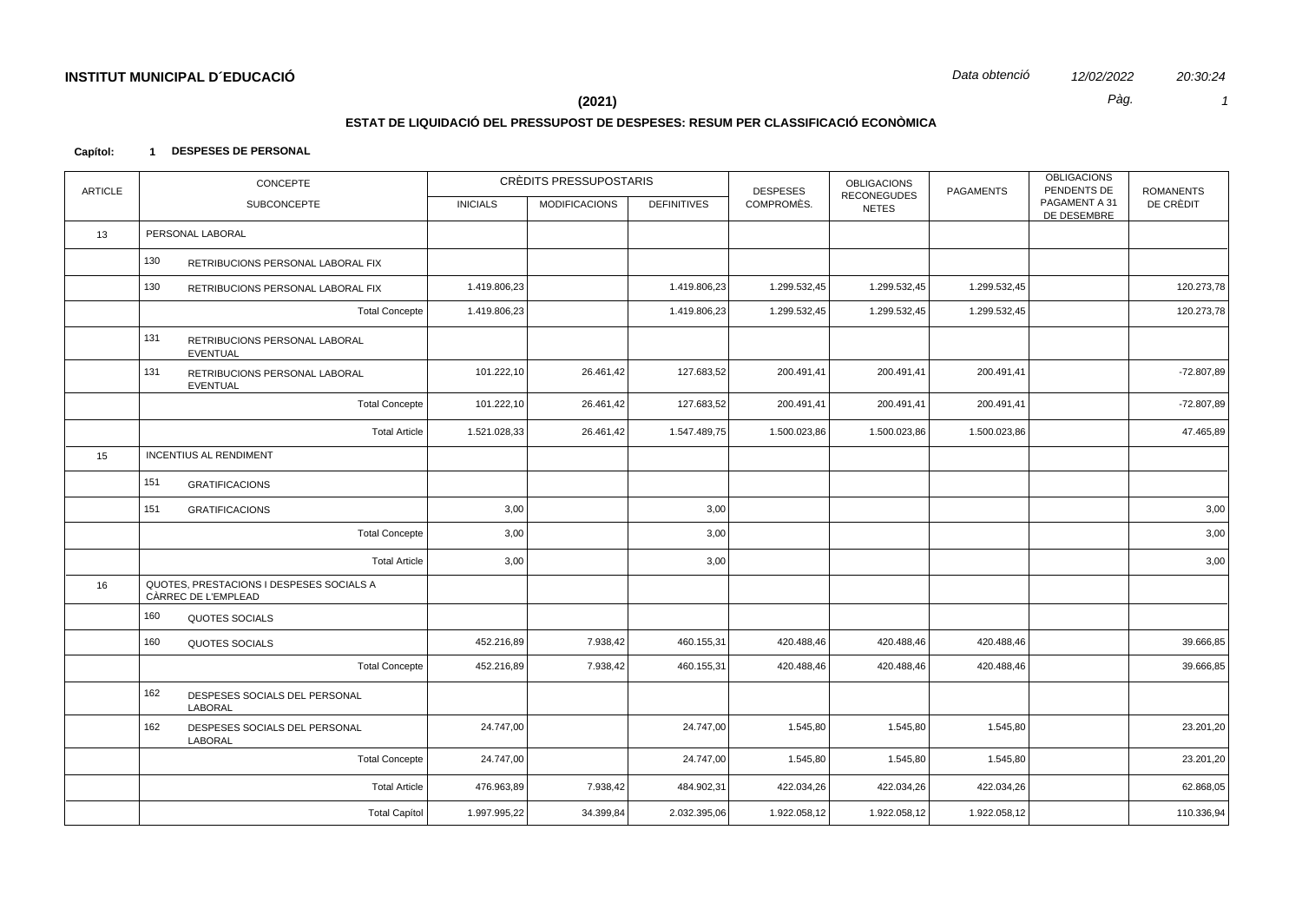20:30:24  $\mathcal{I}$ 

Pàg.

### $(2021)$

## ESTAT DE LIQUIDACIÓ DEL PRESSUPOST DE DESPESES: RESUM PER CLASSIFICACIÓ ECONÒMICA

#### Capítol: 1 DESPESES DE PERSONAL

| <b>ARTICLE</b> | CONCEPTE                                                        |                 | CRÈDITS PRESSUPOSTARIS |                    | <b>DESPESES</b> | <b>OBLIGACIONS</b><br><b>RECONEGUDES</b> | <b>PAGAMENTS</b> | <b>OBLIGACIONS</b><br>PENDENTS DE | <b>ROMANENTS</b> |
|----------------|-----------------------------------------------------------------|-----------------|------------------------|--------------------|-----------------|------------------------------------------|------------------|-----------------------------------|------------------|
|                | <b>SUBCONCEPTE</b>                                              | <b>INICIALS</b> | <b>MODIFICACIONS</b>   | <b>DEFINITIVES</b> | COMPROMÈS.      | <b>NETES</b>                             |                  | PAGAMENT A 31<br>DE DESEMBRE      | DE CRÈDIT        |
| 13             | PERSONAL LABORAL                                                |                 |                        |                    |                 |                                          |                  |                                   |                  |
|                | 130<br>RETRIBUCIONS PERSONAL LABORAL FIX                        |                 |                        |                    |                 |                                          |                  |                                   |                  |
|                | 130<br>RETRIBUCIONS PERSONAL LABORAL FIX                        | 1.419.806,23    |                        | 1.419.806,23       | 1.299.532,45    | 1.299.532,45                             | 1.299.532,45     |                                   | 120.273,78       |
|                | <b>Total Concepte</b>                                           | 1.419.806,23    |                        | 1.419.806,23       | 1.299.532,45    | 1.299.532,45                             | 1.299.532,45     |                                   | 120.273,78       |
|                | 131<br>RETRIBUCIONS PERSONAL LABORAL<br><b>EVENTUAL</b>         |                 |                        |                    |                 |                                          |                  |                                   |                  |
|                | 131<br>RETRIBUCIONS PERSONAL LABORAL<br><b>EVENTUAL</b>         | 101.222,10      | 26.461,42              | 127.683,52         | 200.491,41      | 200.491,41                               | 200.491,41       |                                   | $-72.807,89$     |
|                | <b>Total Concepte</b>                                           | 101.222,10      | 26.461,42              | 127.683,52         | 200.491,41      | 200.491,41                               | 200.491,41       |                                   | $-72.807,89$     |
|                | <b>Total Article</b>                                            | 1.521.028,33    | 26.461,42              | 1.547.489,75       | 1.500.023,86    | 1.500.023,86                             | 1.500.023,86     |                                   | 47.465,89        |
| 15             | <b>INCENTIUS AL RENDIMENT</b>                                   |                 |                        |                    |                 |                                          |                  |                                   |                  |
|                | 151<br><b>GRATIFICACIONS</b>                                    |                 |                        |                    |                 |                                          |                  |                                   |                  |
|                | 151<br><b>GRATIFICACIONS</b>                                    | 3,00            |                        | 3,00               |                 |                                          |                  |                                   | 3,00             |
|                | <b>Total Concepte</b>                                           | 3,00            |                        | 3,00               |                 |                                          |                  |                                   | 3,00             |
|                | <b>Total Article</b>                                            | 3,00            |                        | 3,00               |                 |                                          |                  |                                   | 3,00             |
| 16             | QUOTES, PRESTACIONS I DESPESES SOCIALS A<br>CÀRREC DE L'EMPLEAD |                 |                        |                    |                 |                                          |                  |                                   |                  |
|                | 160<br><b>QUOTES SOCIALS</b>                                    |                 |                        |                    |                 |                                          |                  |                                   |                  |
|                | 160<br><b>QUOTES SOCIALS</b>                                    | 452.216,89      | 7.938,42               | 460.155,31         | 420.488,46      | 420.488,46                               | 420.488,46       |                                   | 39.666,85        |
|                | <b>Total Concepte</b>                                           | 452.216,89      | 7.938,42               | 460.155,31         | 420.488,46      | 420.488,46                               | 420.488,46       |                                   | 39.666,85        |
|                | 162<br>DESPESES SOCIALS DEL PERSONAL<br>LABORAL                 |                 |                        |                    |                 |                                          |                  |                                   |                  |
|                | 162<br>DESPESES SOCIALS DEL PERSONAL<br><b>LABORAL</b>          | 24.747,00       |                        | 24.747,00          | 1.545,80        | 1.545,80                                 | 1.545,80         |                                   | 23.201,20        |
|                | <b>Total Concepte</b>                                           | 24.747,00       |                        | 24.747,00          | 1.545,80        | 1.545,80                                 | 1.545,80         |                                   | 23.201,20        |
|                | <b>Total Article</b>                                            | 476.963,89      | 7.938,42               | 484.902,31         | 422.034,26      | 422.034,26                               | 422.034,26       |                                   | 62.868,05        |
|                | <b>Total Capítol</b>                                            | 1.997.995,22    | 34.399,84              | 2.032.395,06       | 1.922.058,12    | 1.922.058,12                             | 1.922.058,12     |                                   | 110.336,94       |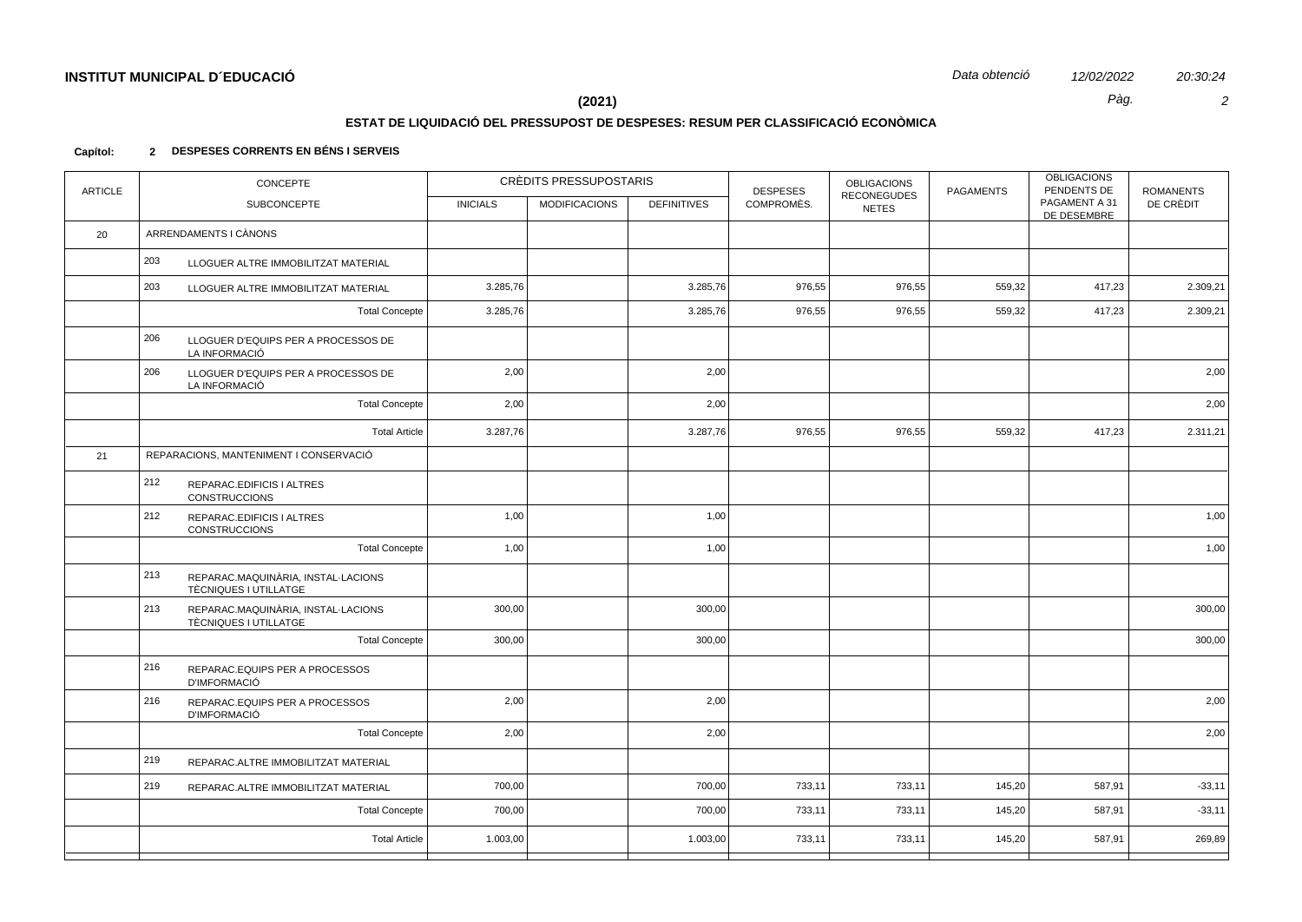$\overline{2}$ 

20:30:24

Pàg.

# $(2021)$

## ESTAT DE LIQUIDACIÓ DEL PRESSUPOST DE DESPESES: RESUM PER CLASSIFICACIÓ ECONÒMICA

#### 2 DESPESES CORRENTS EN BÉNS I SERVEIS Capítol:

| <b>ARTICLE</b> | CONCEPTE                                                           | CRÈDITS PRESSUPOSTARIS |                      | <b>DESPESES</b>    | <b>OBLIGACIONS</b><br><b>RECONEGUDES</b> | <b>PAGAMENTS</b> | <b>OBLIGACIONS</b><br>PENDENTS DE | <b>ROMANENTS</b>             |           |
|----------------|--------------------------------------------------------------------|------------------------|----------------------|--------------------|------------------------------------------|------------------|-----------------------------------|------------------------------|-----------|
|                | SUBCONCEPTE                                                        | <b>INICIALS</b>        | <b>MODIFICACIONS</b> | <b>DEFINITIVES</b> | COMPROMÈS.                               | <b>NETES</b>     |                                   | PAGAMENT A 31<br>DE DESEMBRE | DE CRÈDIT |
| 20             | ARRENDAMENTS I CÀNONS                                              |                        |                      |                    |                                          |                  |                                   |                              |           |
|                | 203<br>LLOGUER ALTRE IMMOBILITZAT MATERIAL                         |                        |                      |                    |                                          |                  |                                   |                              |           |
|                | 203<br>LLOGUER ALTRE IMMOBILITZAT MATERIAL                         | 3.285,76               |                      | 3.285,76           | 976,55                                   | 976,55           | 559,32                            | 417,23                       | 2.309,21  |
|                | <b>Total Concepte</b>                                              | 3.285,76               |                      | 3.285,76           | 976,55                                   | 976,55           | 559,32                            | 417,23                       | 2.309,21  |
|                | 206<br>LLOGUER D'EQUIPS PER A PROCESSOS DE<br>LA INFORMACIÓ        |                        |                      |                    |                                          |                  |                                   |                              |           |
|                | 206<br>LLOGUER D'EQUIPS PER A PROCESSOS DE<br>LA INFORMACIÓ        | 2,00                   |                      | 2,00               |                                          |                  |                                   |                              | 2,00      |
|                | <b>Total Concepte</b>                                              | 2,00                   |                      | 2,00               |                                          |                  |                                   |                              | 2,00      |
|                | <b>Total Article</b>                                               | 3.287,76               |                      | 3.287,76           | 976,55                                   | 976,55           | 559,32                            | 417,23                       | 2.311,21  |
| 21             | REPARACIONS, MANTENIMENT I CONSERVACIÓ                             |                        |                      |                    |                                          |                  |                                   |                              |           |
|                | 212<br>REPARAC.EDIFICIS I ALTRES<br><b>CONSTRUCCIONS</b>           |                        |                      |                    |                                          |                  |                                   |                              |           |
|                | 212<br>REPARAC.EDIFICIS I ALTRES<br><b>CONSTRUCCIONS</b>           | 1,00                   |                      | 1,00               |                                          |                  |                                   |                              | 1,00      |
|                | <b>Total Concepte</b>                                              | 1,00                   |                      | 1,00               |                                          |                  |                                   |                              | 1,00      |
|                | 213<br>REPARAC.MAQUINÀRIA, INSTAL·LACIONS<br>TÈCNIQUES I UTILLATGE |                        |                      |                    |                                          |                  |                                   |                              |           |
|                | 213<br>REPARAC.MAQUINÀRIA, INSTAL·LACIONS<br>TÈCNIQUES I UTILLATGE | 300,00                 |                      | 300,00             |                                          |                  |                                   |                              | 300,00    |
|                | <b>Total Concepte</b>                                              | 300,00                 |                      | 300,00             |                                          |                  |                                   |                              | 300,00    |
|                | 216<br>REPARAC.EQUIPS PER A PROCESSOS<br><b>D'IMFORMACIÓ</b>       |                        |                      |                    |                                          |                  |                                   |                              |           |
|                | 216<br>REPARAC.EQUIPS PER A PROCESSOS<br><b>D'IMFORMACIÓ</b>       | 2,00                   |                      | 2,00               |                                          |                  |                                   |                              | 2,00      |
|                | <b>Total Concepte</b>                                              | 2,00                   |                      | 2,00               |                                          |                  |                                   |                              | 2,00      |
|                | 219<br>REPARAC.ALTRE IMMOBILITZAT MATERIAL                         |                        |                      |                    |                                          |                  |                                   |                              |           |
|                | 219<br>REPARAC.ALTRE IMMOBILITZAT MATERIAL                         | 700,00                 |                      | 700,00             | 733,11                                   | 733,11           | 145,20                            | 587,91                       | $-33,11$  |
|                | <b>Total Concepte</b>                                              | 700,00                 |                      | 700,00             | 733,11                                   | 733,11           | 145,20                            | 587,91                       | $-33,11$  |
|                | <b>Total Article</b>                                               | 1.003,00               |                      | 1.003,00           | 733,11                                   | 733,11           | 145,20                            | 587,91                       | 269,89    |
|                |                                                                    |                        |                      |                    |                                          |                  |                                   |                              |           |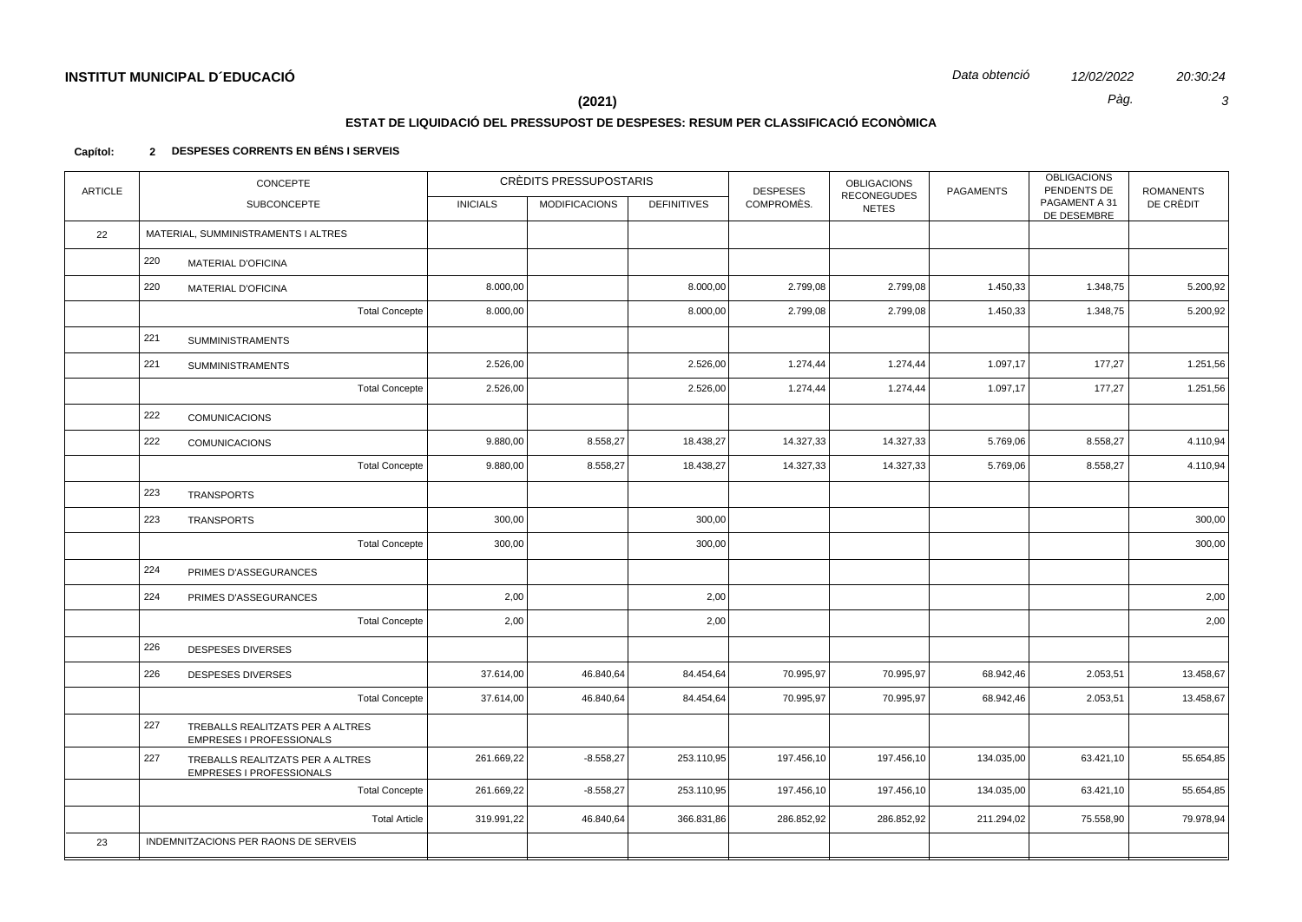20:30:24  $\mathbf{3}$ 

Pàg.

## $(2021)$

### ESTAT DE LIQUIDACIÓ DEL PRESSUPOST DE DESPESES: RESUM PER CLASSIFICACIÓ ECONÒMICA

#### 2 DESPESES CORRENTS EN BÉNS I SERVEIS Capítol:

| <b>ARTICLE</b> | CONCEPTE                                                            |                 | CRÉDITS PRESSUPOSTARIS |                    | <b>DESPESES</b> | <b>OBLIGACIONS</b><br><b>RECONEGUDES</b> | <b>PAGAMENTS</b> | <b>OBLIGACIONS</b><br>PENDENTS DE | <b>ROMANENTS</b> |
|----------------|---------------------------------------------------------------------|-----------------|------------------------|--------------------|-----------------|------------------------------------------|------------------|-----------------------------------|------------------|
|                | SUBCONCEPTE                                                         | <b>INICIALS</b> | <b>MODIFICACIONS</b>   | <b>DEFINITIVES</b> | COMPROMÈS.      | <b>NETES</b>                             |                  | PAGAMENT A 31<br>DE DESEMBRE      | DE CRÈDIT        |
| 22             | MATERIAL, SUMMINISTRAMENTS I ALTRES                                 |                 |                        |                    |                 |                                          |                  |                                   |                  |
|                | 220<br><b>MATERIAL D'OFICINA</b>                                    |                 |                        |                    |                 |                                          |                  |                                   |                  |
|                | 220<br><b>MATERIAL D'OFICINA</b>                                    | 8.000,00        |                        | 8.000,00           | 2.799,08        | 2.799,08                                 | 1.450,33         | 1.348,75                          | 5.200,92         |
|                | <b>Total Concepte</b>                                               | 8.000,00        |                        | 8.000,00           | 2.799,08        | 2.799,08                                 | 1.450,33         | 1.348,75                          | 5.200,92         |
|                | 221<br><b>SUMMINISTRAMENTS</b>                                      |                 |                        |                    |                 |                                          |                  |                                   |                  |
|                | 221<br><b>SUMMINISTRAMENTS</b>                                      | 2.526,00        |                        | 2.526,00           | 1.274,44        | 1.274,44                                 | 1.097,17         | 177,27                            | 1.251,56         |
|                | <b>Total Concepte</b>                                               | 2.526,00        |                        | 2.526,00           | 1.274,44        | 1.274,44                                 | 1.097,17         | 177,27                            | 1.251,56         |
|                | 222<br><b>COMUNICACIONS</b>                                         |                 |                        |                    |                 |                                          |                  |                                   |                  |
|                | 222<br><b>COMUNICACIONS</b>                                         | 9.880,00        | 8.558,27               | 18.438,27          | 14.327,33       | 14.327,33                                | 5.769,06         | 8.558,27                          | 4.110,94         |
|                | <b>Total Concepte</b>                                               | 9.880,00        | 8.558,27               | 18.438,27          | 14.327,33       | 14.327,33                                | 5.769,06         | 8.558,27                          | 4.110,94         |
|                | 223<br><b>TRANSPORTS</b>                                            |                 |                        |                    |                 |                                          |                  |                                   |                  |
|                | 223<br>TRANSPORTS                                                   | 300,00          |                        | 300,00             |                 |                                          |                  |                                   | 300,00           |
|                | <b>Total Concepte</b>                                               | 300,00          |                        | 300,00             |                 |                                          |                  |                                   | 300,00           |
|                | 224<br>PRIMES D'ASSEGURANCES                                        |                 |                        |                    |                 |                                          |                  |                                   |                  |
|                | 224<br>PRIMES D'ASSEGURANCES                                        | 2,00            |                        | 2,00               |                 |                                          |                  |                                   | 2,00             |
|                | <b>Total Concepte</b>                                               | 2,00            |                        | 2,00               |                 |                                          |                  |                                   | 2,00             |
|                | 226<br>DESPESES DIVERSES                                            |                 |                        |                    |                 |                                          |                  |                                   |                  |
|                | 226<br><b>DESPESES DIVERSES</b>                                     | 37.614,00       | 46.840,64              | 84.454,64          | 70.995,97       | 70.995,97                                | 68.942,46        | 2.053,51                          | 13.458,67        |
|                | <b>Total Concepte</b>                                               | 37.614,00       | 46.840,64              | 84.454,64          | 70.995,97       | 70.995,97                                | 68.942,46        | 2.053,51                          | 13.458,67        |
|                | 227<br>TREBALLS REALITZATS PER A ALTRES<br>EMPRESES I PROFESSIONALS |                 |                        |                    |                 |                                          |                  |                                   |                  |
|                | 227<br>TREBALLS REALITZATS PER A ALTRES<br>EMPRESES I PROFESSIONALS | 261.669,22      | $-8.558,27$            | 253.110,95         | 197.456,10      | 197.456,10                               | 134.035,00       | 63.421,10                         | 55.654,85        |
|                | <b>Total Concepte</b>                                               | 261.669,22      | $-8.558,27$            | 253.110,95         | 197.456,10      | 197.456,10                               | 134.035,00       | 63.421,10                         | 55.654,85        |
|                | <b>Total Article</b>                                                | 319.991,22      | 46.840,64              | 366.831,86         | 286.852,92      | 286.852,92                               | 211.294,02       | 75.558,90                         | 79.978,94        |
| 23             | INDEMNITZACIONS PER RAONS DE SERVEIS                                |                 |                        |                    |                 |                                          |                  |                                   |                  |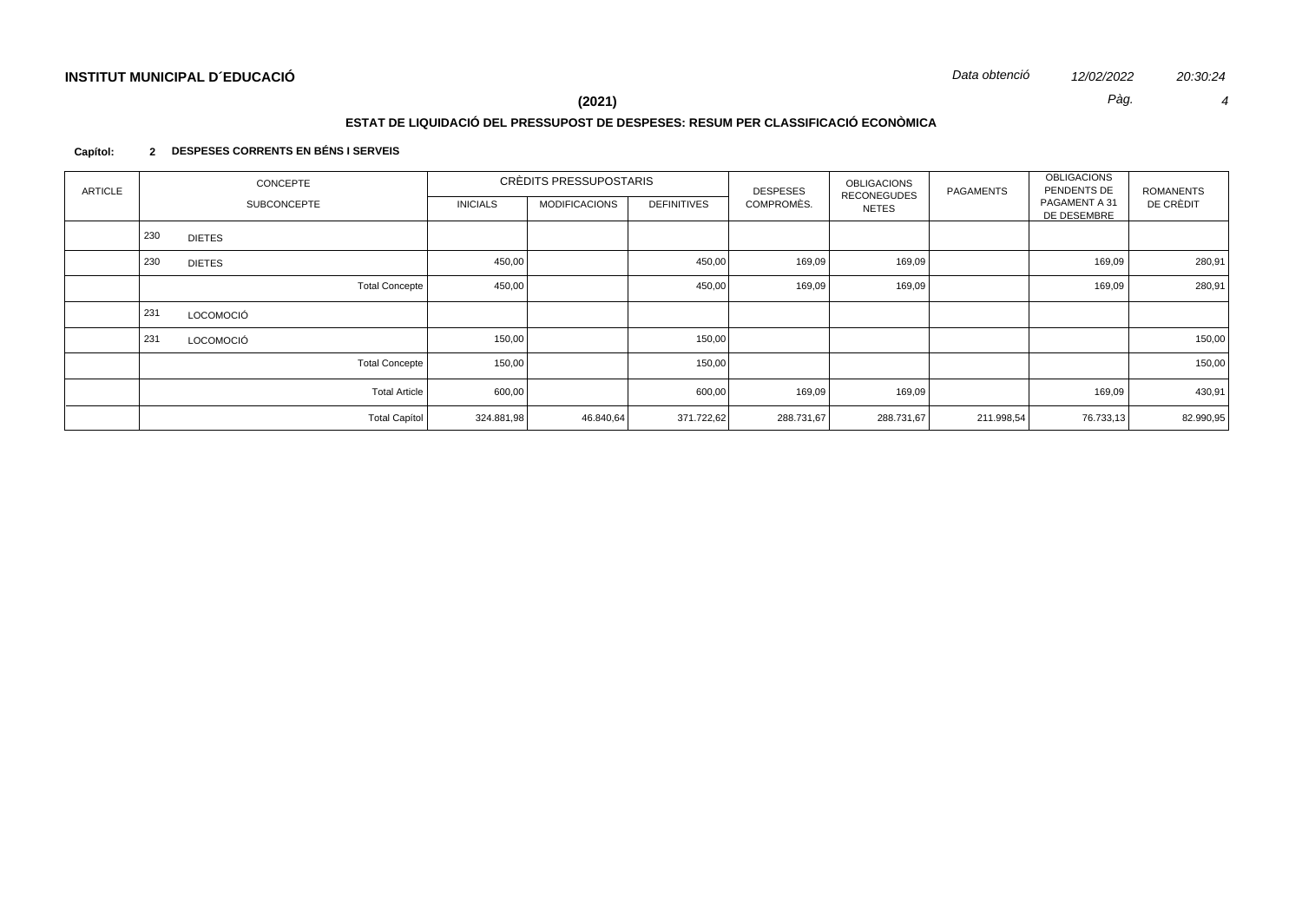Pàg.  $\overline{4}$ 

12/02/2022

# $(2021)$

## ESTAT DE LIQUIDACIÓ DEL PRESSUPOST DE DESPESES: RESUM PER CLASSIFICACIÓ ECONÒMICA

#### 2 DESPESES CORRENTS EN BÉNS I SERVEIS Capítol:

| <b>ARTICLE</b> |     | <b>CONCEPTE</b>    |                       |                 | CRÈDITS PRESSUPOSTARIS |                    | <b>DESPESES</b> | <b>OBLIGACIONS</b>          | PAGAMENTS  | <b>OBLIGACIONS</b><br>PENDENTS DE | <b>ROMANENTS</b> |
|----------------|-----|--------------------|-----------------------|-----------------|------------------------|--------------------|-----------------|-----------------------------|------------|-----------------------------------|------------------|
|                |     | <b>SUBCONCEPTE</b> |                       | <b>INICIALS</b> | <b>MODIFICACIONS</b>   | <b>DEFINITIVES</b> | COMPROMÈS.      | <b>RECONEGUDES</b><br>NETES |            | PAGAMENT A 31<br>DE DESEMBRE      | DE CRÈDIT        |
|                | 230 | <b>DIETES</b>      |                       |                 |                        |                    |                 |                             |            |                                   |                  |
|                | 230 | <b>DIETES</b>      |                       | 450,00          |                        | 450,00             | 169,09          | 169,09                      |            | 169,09                            | 280,91           |
|                |     |                    | <b>Total Concepte</b> | 450,00          |                        | 450,00             | 169,09          | 169,09                      |            | 169,09                            | 280,91           |
|                | 231 | LOCOMOCIÓ          |                       |                 |                        |                    |                 |                             |            |                                   |                  |
|                | 231 | LOCOMOCIÓ          |                       | 150,00          |                        | 150,00             |                 |                             |            |                                   | 150,00           |
|                |     |                    | <b>Total Concepte</b> | 150,00          |                        | 150,00             |                 |                             |            |                                   | 150,00           |
|                |     |                    | <b>Total Article</b>  | 600,00          |                        | 600,00             | 169,09          | 169,09                      |            | 169,09                            | 430,91           |
|                |     |                    | <b>Total Capítol</b>  | 324.881,98      | 46.840,64              | 371.722,62         | 288.731,67      | 288.731,67                  | 211.998,54 | 76.733,13                         | 82.990,95        |

20:30:24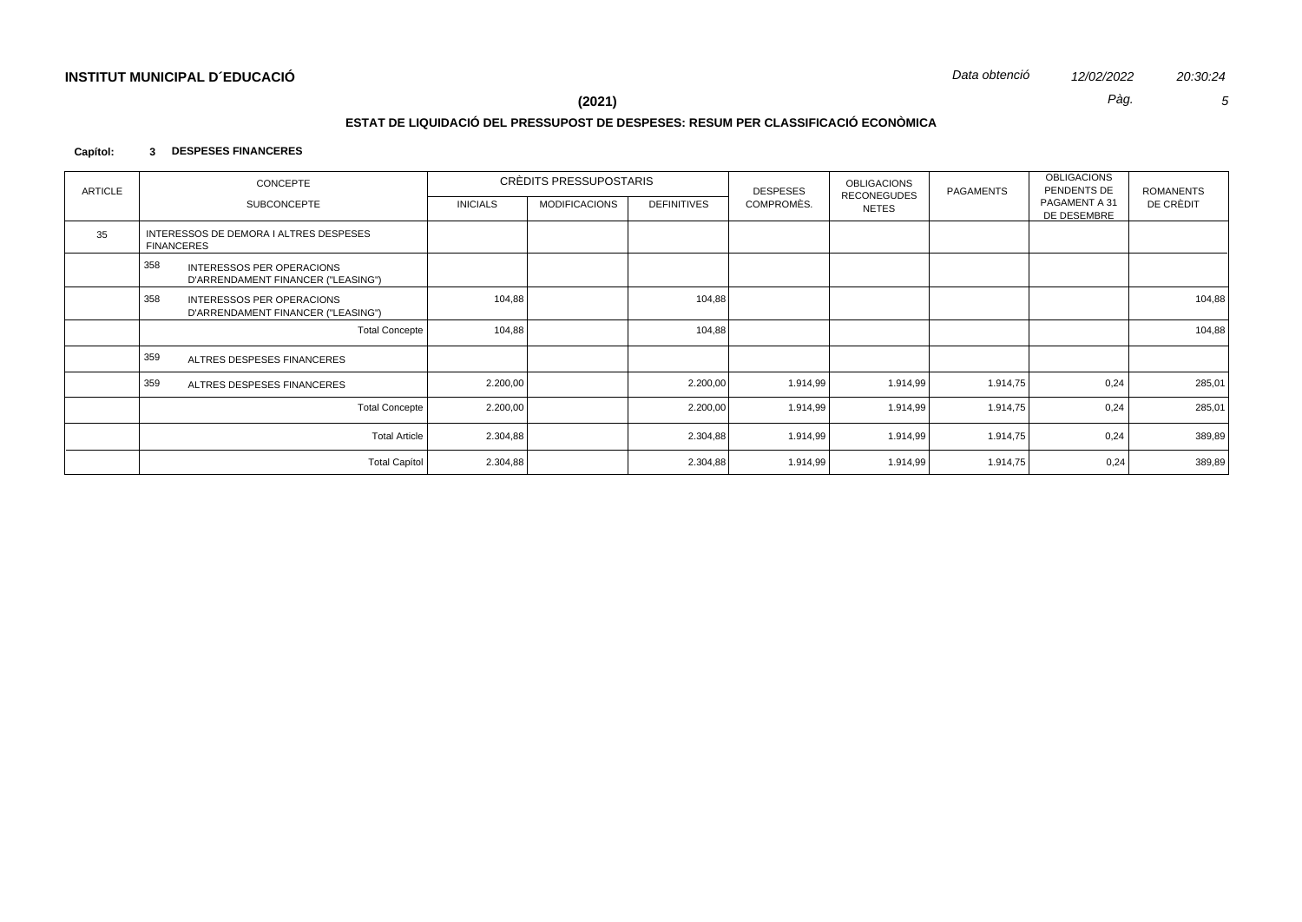Pàg.

 $(2021)$ 

## ESTAT DE LIQUIDACIÓ DEL PRESSUPOST DE DESPESES: RESUM PER CLASSIFICACIÓ ECONÒMICA

#### Capítol: 3 DESPESES FINANCERES

| ARTICLE | CONCEPTE                                                                      |                 | CRÈDITS PRESSUPOSTARIS |                    | <b>DESPESES</b> | <b>OBLIGACIONS</b>                 | PAGAMENTS | <b>OBLIGACIONS</b><br>PENDENTS DE | <b>ROMANENTS</b> |
|---------|-------------------------------------------------------------------------------|-----------------|------------------------|--------------------|-----------------|------------------------------------|-----------|-----------------------------------|------------------|
|         | <b>SUBCONCEPTE</b>                                                            | <b>INICIALS</b> | <b>MODIFICACIONS</b>   | <b>DEFINITIVES</b> | COMPROMÈS.      | <b>RECONEGUDES</b><br><b>NETES</b> |           | PAGAMENT A 31<br>DE DESEMBRE      | DE CRÈDIT        |
| 35      | INTERESSOS DE DEMORA I ALTRES DESPESES<br>FINANCERES                          |                 |                        |                    |                 |                                    |           |                                   |                  |
|         | 358<br><b>INTERESSOS PER OPERACIONS</b><br>D'ARRENDAMENT FINANCER ("LEASING") |                 |                        |                    |                 |                                    |           |                                   |                  |
|         | 358<br><b>INTERESSOS PER OPERACIONS</b><br>D'ARRENDAMENT FINANCER ("LEASING") | 104,88          |                        | 104,88             |                 |                                    |           |                                   | 104,88           |
|         | <b>Total Concepte</b>                                                         | 104,88          |                        | 104,88             |                 |                                    |           |                                   | 104,88           |
|         | 359<br>ALTRES DESPESES FINANCERES                                             |                 |                        |                    |                 |                                    |           |                                   |                  |
|         | 359<br>ALTRES DESPESES FINANCERES                                             | 2.200,00        |                        | 2.200,00           | 1.914,99        | 1.914,99                           | 1.914,75  | 0,24                              | 285,01           |
|         | <b>Total Concepte</b>                                                         | 2.200,00        |                        | 2.200,00           | 1.914,99        | 1.914,99                           | 1.914,75  | 0,24                              | 285,01           |
|         | <b>Total Article</b>                                                          | 2.304,88        |                        | 2.304,88           | 1.914,99        | 1.914,99                           | 1.914,75  | 0,24                              | 389,89           |
|         | <b>Total Capítol</b>                                                          | 2.304,88        |                        | 2.304,88           | 1.914,99        | 1.914,99                           | 1.914,75  | 0,24                              | 389,89           |

20:30:24

 $\sqrt{5}$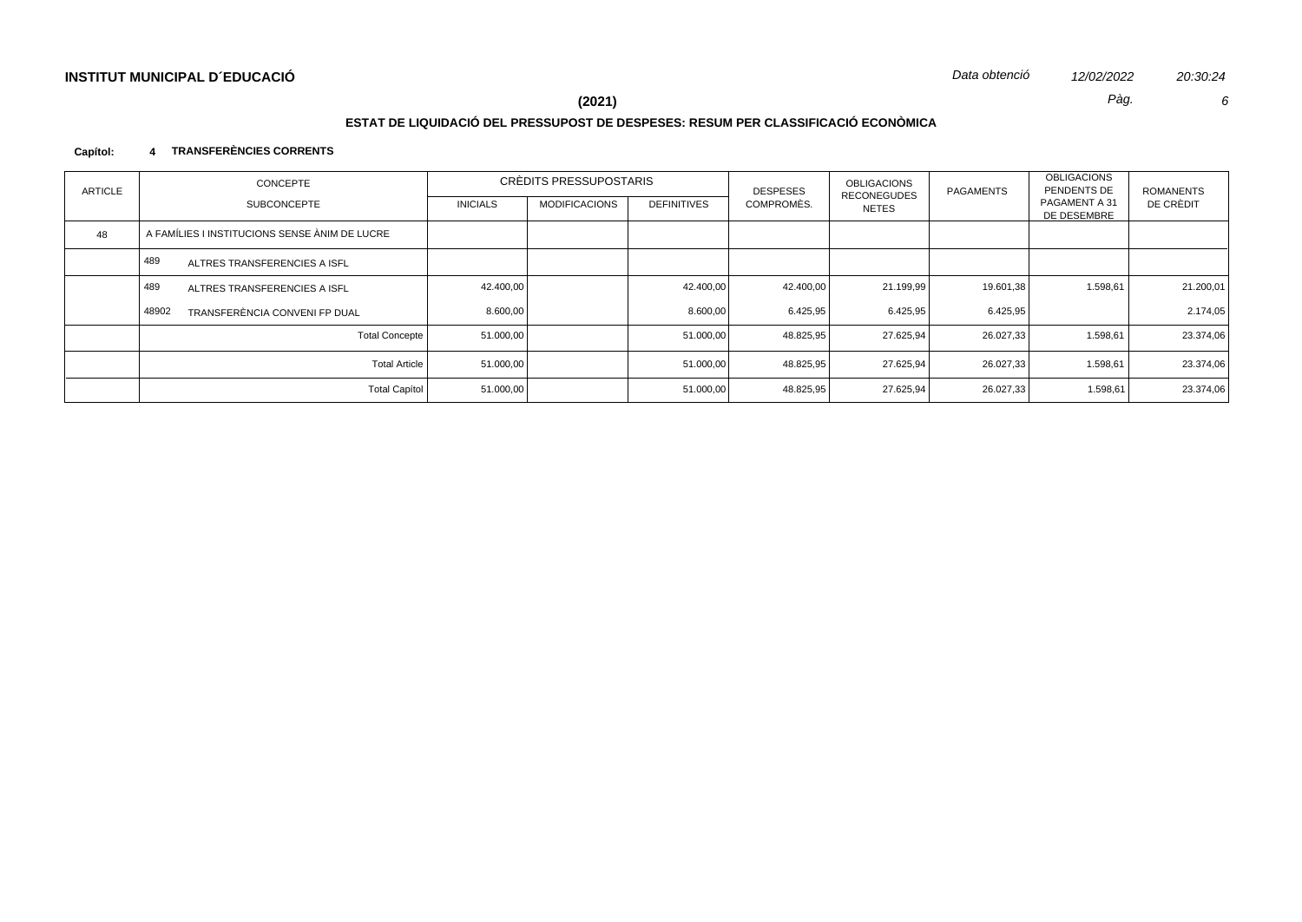Pàg.

20:30:24  $\epsilon$ 

# $(2021)$

# ESTAT DE LIQUIDACIÓ DEL PRESSUPOST DE DESPESES: RESUM PER CLASSIFICACIÓ ECONÒMICA

#### 4 TRANSFERÈNCIES CORRENTS Capítol:

| <b>ARTICLE</b> | <b>CONCEPTE</b>                               |                 | CRÈDITS PRESSUPOSTARIS |                    | <b>OBLIGACIONS</b><br><b>DESPESES</b><br><b>RECONEGUDES</b> | <b>PAGAMENTS</b> | <b>OBLIGACIONS</b><br>PENDENTS DE | <b>ROMANENTS</b>             |           |
|----------------|-----------------------------------------------|-----------------|------------------------|--------------------|-------------------------------------------------------------|------------------|-----------------------------------|------------------------------|-----------|
|                | <b>SUBCONCEPTE</b>                            | <b>INICIALS</b> | <b>MODIFICACIONS</b>   | <b>DEFINITIVES</b> | COMPROMÈS.                                                  | NETES            |                                   | PAGAMENT A 31<br>DE DESEMBRE | DE CRÈDIT |
| 48             | A FAMÍLIES I INSTITUCIONS SENSE ÀNIM DE LUCRE |                 |                        |                    |                                                             |                  |                                   |                              |           |
|                | 489<br>ALTRES TRANSFERENCIES A ISFL           |                 |                        |                    |                                                             |                  |                                   |                              |           |
|                | 489<br>ALTRES TRANSFERENCIES A ISFL           | 42.400,00       |                        | 42.400,00          | 42.400,00                                                   | 21.199,99        | 19.601,38                         | 1.598,61                     | 21.200,01 |
|                | 48902<br>TRANSFERÈNCIA CONVENI FP DUAL        | 8.600,00        |                        | 8.600,00           | 6.425,95                                                    | 6.425,95         | 6.425,95                          |                              | 2.174,05  |
|                | <b>Total Concepte</b>                         | 51.000,00       |                        | 51.000,00          | 48.825,95                                                   | 27.625,94        | 26.027,33                         | 1.598,61                     | 23.374,06 |
|                | <b>Total Article</b>                          | 51.000,00       |                        | 51.000,00          | 48.825,95                                                   | 27.625.94        | 26.027.33                         | 1.598,61                     | 23.374,06 |
|                | <b>Total Capítol</b>                          | 51.000,00       |                        | 51.000,00          | 48.825,95                                                   | 27.625,94        | 26.027,33                         | 1.598,61                     | 23.374,06 |